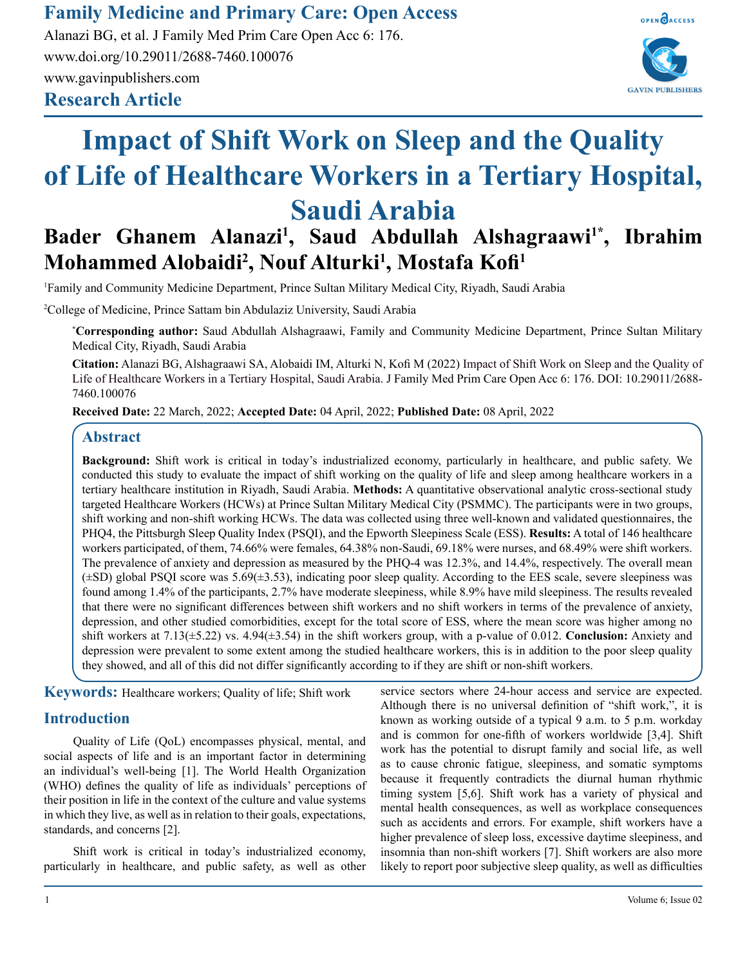**Family Medicine and Primary Care: Open Access**

**Research Article** Alanazi BG, et al. J Family Med Prim Care Open Acc 6: 176. www.doi.org/10.29011/2688-7460.100076 www.gavinpublishers.com



# **Impact of Shift Work on Sleep and the Quality of Life of Healthcare Workers in a Tertiary Hospital, Saudi Arabia**

# **Bader Ghanem Alanazi1 , Saud Abdullah Alshagraawi1\*, Ibrahim Mohammed Alobaidi2 , Nouf Alturki1 , Mostafa Kofi<sup>1</sup>**

1 Family and Community Medicine Department, Prince Sultan Military Medical City, Riyadh, Saudi Arabia

2 College of Medicine, Prince Sattam bin Abdulaziz University, Saudi Arabia

**\* Corresponding author:** Saud Abdullah Alshagraawi, Family and Community Medicine Department, Prince Sultan Military Medical City, Riyadh, Saudi Arabia

**Citation:** Alanazi BG, Alshagraawi SA, Alobaidi IM, Alturki N, Kofi M (2022) Impact of Shift Work on Sleep and the Quality of Life of Healthcare Workers in a Tertiary Hospital, Saudi Arabia. J Family Med Prim Care Open Acc 6: 176. DOI: 10.29011/2688- 7460.100076

**Received Date:** 22 March, 2022; **Accepted Date:** 04 April, 2022; **Published Date:** 08 April, 2022

### **Abstract**

**Background:** Shift work is critical in today's industrialized economy, particularly in healthcare, and public safety. We conducted this study to evaluate the impact of shift working on the quality of life and sleep among healthcare workers in a tertiary healthcare institution in Riyadh, Saudi Arabia. **Methods:** A quantitative observational analytic cross-sectional study targeted Healthcare Workers (HCWs) at Prince Sultan Military Medical City (PSMMC). The participants were in two groups, shift working and non-shift working HCWs. The data was collected using three well-known and validated questionnaires, the PHQ4, the Pittsburgh Sleep Quality Index (PSQI), and the Epworth Sleepiness Scale (ESS). **Results:** A total of 146 healthcare workers participated, of them, 74.66% were females, 64.38% non-Saudi, 69.18% were nurses, and 68.49% were shift workers. The prevalence of anxiety and depression as measured by the PHQ-4 was 12.3%, and 14.4%, respectively. The overall mean (±SD) global PSQI score was 5.69(±3.53), indicating poor sleep quality. According to the EES scale, severe sleepiness was found among 1.4% of the participants, 2.7% have moderate sleepiness, while 8.9% have mild sleepiness. The results revealed that there were no significant differences between shift workers and no shift workers in terms of the prevalence of anxiety, depression, and other studied comorbidities, except for the total score of ESS, where the mean score was higher among no shift workers at 7.13(±5.22) vs. 4.94(±3.54) in the shift workers group, with a p-value of 0.012. **Conclusion:** Anxiety and depression were prevalent to some extent among the studied healthcare workers, this is in addition to the poor sleep quality they showed, and all of this did not differ significantly according to if they are shift or non-shift workers.

**Keywords:** Healthcare workers; Quality of life; Shift work

# **Introduction**

Quality of Life (QoL) encompasses physical, mental, and social aspects of life and is an important factor in determining an individual's well-being [1]. The World Health Organization (WHO) defines the quality of life as individuals' perceptions of their position in life in the context of the culture and value systems in which they live, as well as in relation to their goals, expectations, standards, and concerns [2].

Shift work is critical in today's industrialized economy, particularly in healthcare, and public safety, as well as other service sectors where 24-hour access and service are expected. Although there is no universal definition of "shift work,", it is known as working outside of a typical 9 a.m. to 5 p.m. workday and is common for one-fifth of workers worldwide [3,4]. Shift work has the potential to disrupt family and social life, as well as to cause chronic fatigue, sleepiness, and somatic symptoms because it frequently contradicts the diurnal human rhythmic timing system [5,6]. Shift work has a variety of physical and mental health consequences, as well as workplace consequences such as accidents and errors. For example, shift workers have a higher prevalence of sleep loss, excessive daytime sleepiness, and insomnia than non-shift workers [7]. Shift workers are also more likely to report poor subjective sleep quality, as well as difficulties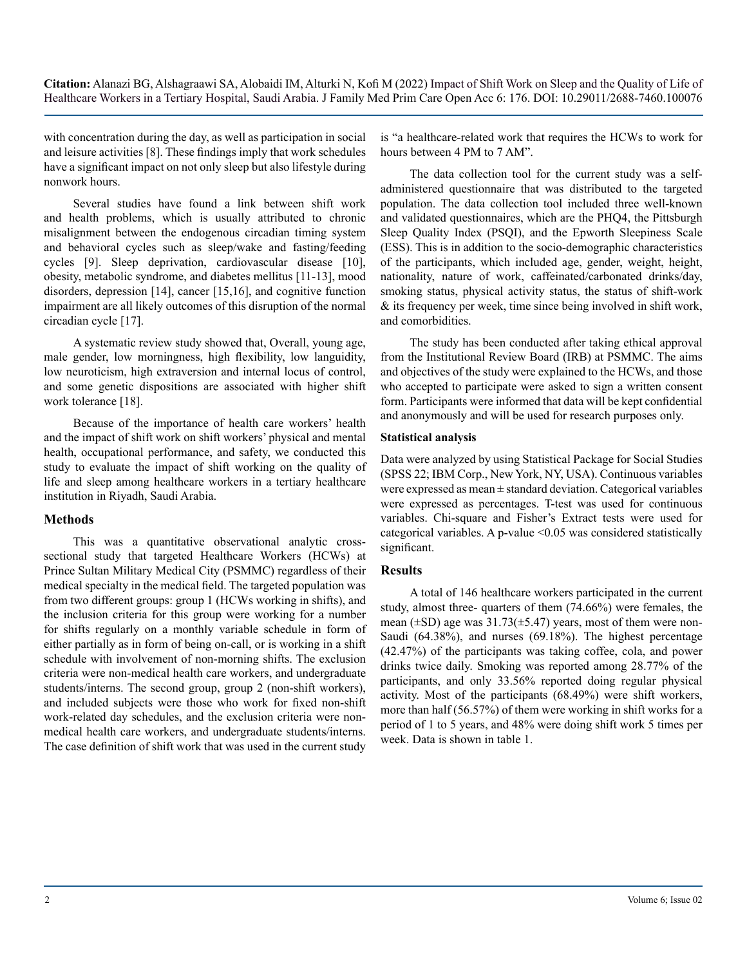with concentration during the day, as well as participation in social and leisure activities [8]. These findings imply that work schedules have a significant impact on not only sleep but also lifestyle during nonwork hours.

Several studies have found a link between shift work and health problems, which is usually attributed to chronic misalignment between the endogenous circadian timing system and behavioral cycles such as sleep/wake and fasting/feeding cycles [9]. Sleep deprivation, cardiovascular disease [10], obesity, metabolic syndrome, and diabetes mellitus [11-13], mood disorders, depression [14], cancer [15,16], and cognitive function impairment are all likely outcomes of this disruption of the normal circadian cycle [17].

A systematic review study showed that, Overall, young age, male gender, low morningness, high flexibility, low languidity, low neuroticism, high extraversion and internal locus of control, and some genetic dispositions are associated with higher shift work tolerance [18].

Because of the importance of health care workers' health and the impact of shift work on shift workers' physical and mental health, occupational performance, and safety, we conducted this study to evaluate the impact of shift working on the quality of life and sleep among healthcare workers in a tertiary healthcare institution in Riyadh, Saudi Arabia.

#### **Methods**

This was a quantitative observational analytic crosssectional study that targeted Healthcare Workers (HCWs) at Prince Sultan Military Medical City (PSMMC) regardless of their medical specialty in the medical field. The targeted population was from two different groups: group 1 (HCWs working in shifts), and the inclusion criteria for this group were working for a number for shifts regularly on a monthly variable schedule in form of either partially as in form of being on-call, or is working in a shift schedule with involvement of non-morning shifts. The exclusion criteria were non-medical health care workers, and undergraduate students/interns. The second group, group 2 (non-shift workers), and included subjects were those who work for fixed non-shift work-related day schedules, and the exclusion criteria were nonmedical health care workers, and undergraduate students/interns. The case definition of shift work that was used in the current study

is "a healthcare-related work that requires the HCWs to work for hours between 4 PM to 7 AM".

The data collection tool for the current study was a selfadministered questionnaire that was distributed to the targeted population. The data collection tool included three well-known and validated questionnaires, which are the PHQ4, the Pittsburgh Sleep Quality Index (PSQI), and the Epworth Sleepiness Scale (ESS). This is in addition to the socio-demographic characteristics of the participants, which included age, gender, weight, height, nationality, nature of work, caffeinated/carbonated drinks/day, smoking status, physical activity status, the status of shift-work & its frequency per week, time since being involved in shift work, and comorbidities.

The study has been conducted after taking ethical approval from the Institutional Review Board (IRB) at PSMMC. The aims and objectives of the study were explained to the HCWs, and those who accepted to participate were asked to sign a written consent form. Participants were informed that data will be kept confidential and anonymously and will be used for research purposes only.

#### **Statistical analysis**

Data were analyzed by using Statistical Package for Social Studies (SPSS 22; IBM Corp., New York, NY, USA). Continuous variables were expressed as mean ± standard deviation. Categorical variables were expressed as percentages. T-test was used for continuous variables. Chi-square and Fisher's Extract tests were used for categorical variables. A p-value  $\leq 0.05$  was considered statistically significant.

#### **Results**

A total of 146 healthcare workers participated in the current study, almost three- quarters of them (74.66%) were females, the mean ( $\pm$ SD) age was 31.73( $\pm$ 5.47) years, most of them were non-Saudi (64.38%), and nurses (69.18%). The highest percentage (42.47%) of the participants was taking coffee, cola, and power drinks twice daily. Smoking was reported among 28.77% of the participants, and only 33.56% reported doing regular physical activity. Most of the participants (68.49%) were shift workers, more than half (56.57%) of them were working in shift works for a period of 1 to 5 years, and 48% were doing shift work 5 times per week. Data is shown in table 1.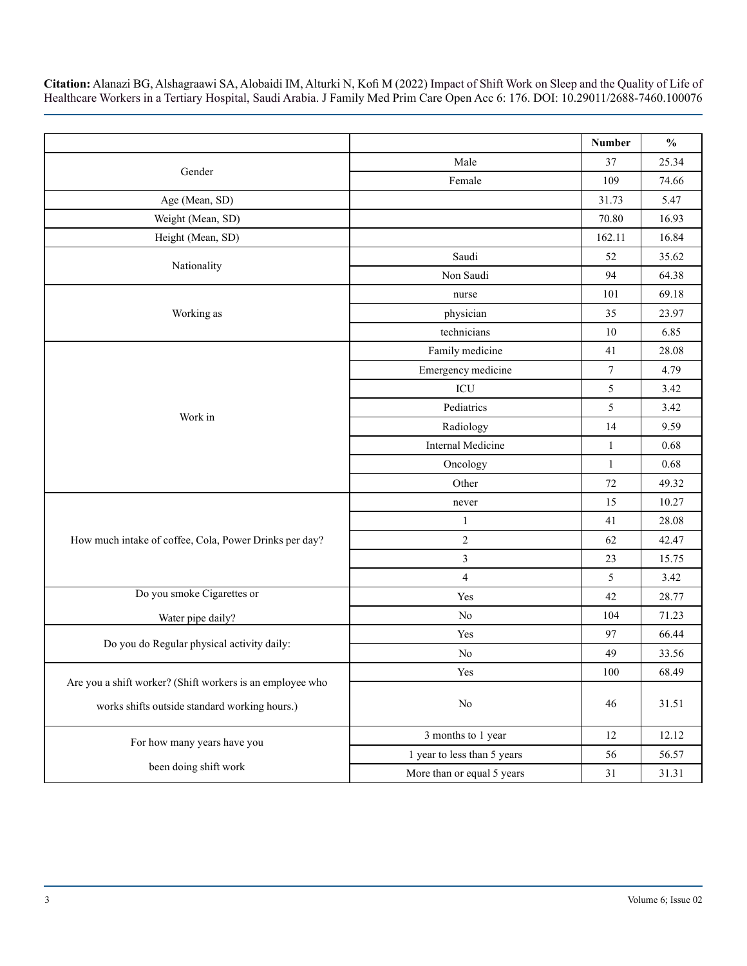|                                                           |                             | Number           | $\frac{0}{0}$ |
|-----------------------------------------------------------|-----------------------------|------------------|---------------|
|                                                           | Male                        | 37               | 25.34         |
| Gender                                                    | Female                      | 109              | 74.66         |
| Age (Mean, SD)                                            |                             | 31.73            | 5.47          |
| Weight (Mean, SD)                                         |                             | 70.80            | 16.93         |
| Height (Mean, SD)                                         |                             | 162.11           | 16.84         |
|                                                           | Saudi                       | 52               | 35.62         |
| Nationality                                               | Non Saudi                   | 94               | 64.38         |
|                                                           | nurse                       | 101              | 69.18         |
| Working as                                                | physician                   | 35               | 23.97         |
|                                                           | technicians                 | 10               | 6.85          |
|                                                           | Family medicine             | 41               | 28.08         |
|                                                           | Emergency medicine          | $\boldsymbol{7}$ | 4.79          |
|                                                           | ICU                         | 5                | 3.42          |
| Work in                                                   | Pediatrics                  | 5                | 3.42          |
|                                                           | Radiology                   | 14               | 9.59          |
|                                                           | <b>Internal Medicine</b>    | $\mathbf{1}$     | 0.68          |
|                                                           | Oncology                    | $\mathbf{1}$     | 0.68          |
|                                                           | Other                       | 72               | 49.32         |
|                                                           | never                       | 15               | 10.27         |
|                                                           | $\mathbf{1}$                | 41               | 28.08         |
| How much intake of coffee, Cola, Power Drinks per day?    | $\sqrt{2}$                  | 62               | 42.47         |
|                                                           | $\mathfrak{Z}$              | 23               | 15.75         |
|                                                           | $\overline{4}$              | 5                | 3.42          |
| Do you smoke Cigarettes or                                | Yes                         | 42               | 28.77         |
| Water pipe daily?                                         | N <sub>0</sub>              | 104              | 71.23         |
|                                                           | Yes                         | 97               | 66.44         |
| Do you do Regular physical activity daily:                | $\rm No$                    | 49               | 33.56         |
| Are you a shift worker? (Shift workers is an employee who | Yes                         | 100              | 68.49         |
| works shifts outside standard working hours.)             | $\rm No$                    | 46               | 31.51         |
| For how many years have you                               | 3 months to 1 year          | 12               | 12.12         |
|                                                           | 1 year to less than 5 years | 56               | 56.57         |
| been doing shift work                                     | More than or equal 5 years  | $31\,$           | 31.31         |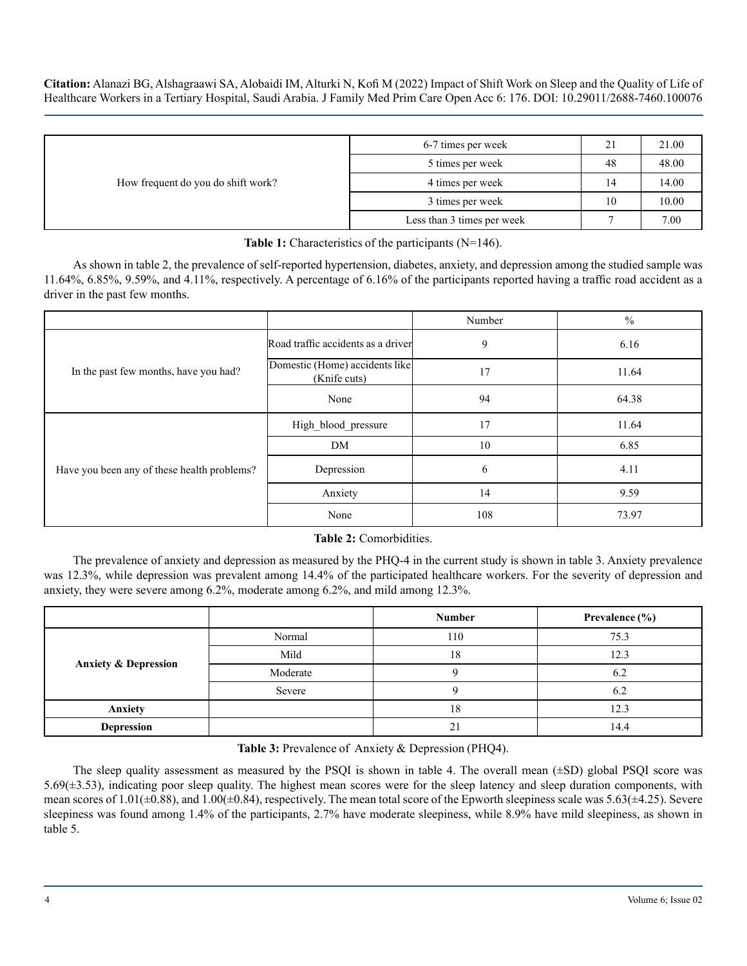| How frequent do you do shift work? | 6-7 times per week         | 21 | 21.00 |
|------------------------------------|----------------------------|----|-------|
|                                    | 5 times per week           | 48 | 48.00 |
|                                    | 4 times per week           | 14 | 14.00 |
|                                    | 3 times per week           | 10 | 10.00 |
|                                    | Less than 3 times per week |    | 7.00  |

**Table 1:** Characteristics of the participants (N=146).

As shown in table 2, the prevalence of self-reported hypertension, diabetes, anxiety, and depression among the studied sample was 11.64%, 6.85%, 9.59%, and 4.11%, respectively. A percentage of 6.16% of the participants reported having a traffic road accident as a driver in the past few months.

|                                             |                                                | Number | $\frac{0}{0}$ |
|---------------------------------------------|------------------------------------------------|--------|---------------|
|                                             | Road traffic accidents as a driver             | 9      | 6.16          |
| In the past few months, have you had?       | Domestic (Home) accidents like<br>(Knife cuts) | 17     | 11.64         |
|                                             | None                                           | 94     | 64.38         |
|                                             | High_blood_pressure                            | 17     | 11.64         |
|                                             | DM                                             | 10     | 6.85          |
| Have you been any of these health problems? | Depression                                     | 6      | 4.11          |
|                                             | Anxiety                                        | 14     | 9.59          |
|                                             | None                                           | 108    | 73.97         |

#### **Table 2:** Comorbidities.

The prevalence of anxiety and depression as measured by the PHQ-4 in the current study is shown in table 3. Anxiety prevalence was 12.3%, while depression was prevalent among 14.4% of the participated healthcare workers. For the severity of depression and anxiety, they were severe among 6.2%, moderate among 6.2%, and mild among 12.3%.

|                                 |          | <b>Number</b> | Prevalence $(\% )$ |
|---------------------------------|----------|---------------|--------------------|
|                                 | Normal   | 110           | 75.3               |
|                                 | Mild     | 18            | 12.3               |
| <b>Anxiety &amp; Depression</b> | Moderate |               | 6.2                |
|                                 | Severe   |               | 6.2                |
| Anxiety                         |          | 18            | 12.3               |
| <b>Depression</b>               |          | 21            | 14.4               |

**Table 3:** Prevalence of Anxiety & Depression (PHQ4).

The sleep quality assessment as measured by the PSQI is shown in table 4. The overall mean  $(\pm SD)$  global PSQI score was 5.69( $\pm$ 3.53), indicating poor sleep quality. The highest mean scores were for the sleep latency and sleep duration components, with mean scores of  $1.01(\pm 0.88)$ , and  $1.00(\pm 0.84)$ , respectively. The mean total score of the Epworth sleepiness scale was  $5.63(\pm 4.25)$ . Severe sleepiness was found among 1.4% of the participants, 2.7% have moderate sleepiness, while 8.9% have mild sleepiness, as shown in table 5.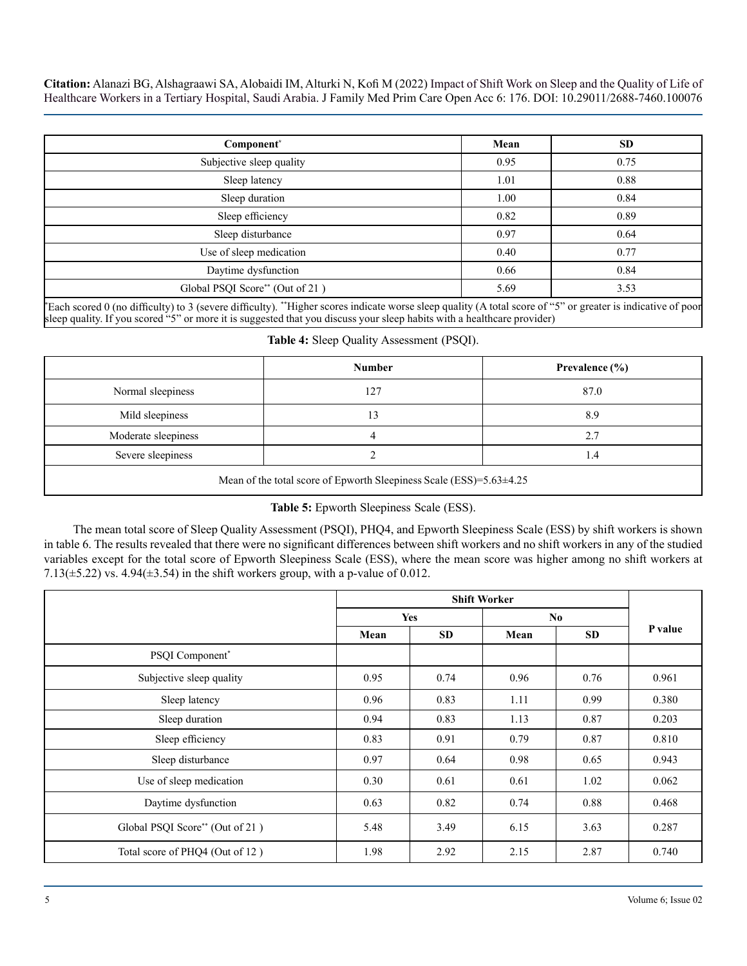| Component*                      | Mean | <b>SD</b> |
|---------------------------------|------|-----------|
| Subjective sleep quality        | 0.95 | 0.75      |
| Sleep latency                   | 1.01 | 0.88      |
| Sleep duration                  | 1.00 | 0.84      |
| Sleep efficiency                | 0.82 | 0.89      |
| Sleep disturbance               | 0.97 | 0.64      |
| Use of sleep medication         | 0.40 | 0.77      |
| Daytime dysfunction             | 0.66 | 0.84      |
| Global PSQI Score** (Out of 21) | 5.69 | 3.53      |

\* Each scored 0 (no difficulty) to 3 (severe difficulty). \*\*Higher scores indicate worse sleep quality (A total score of "5" or greater is indicative of poor sleep quality. If you scored "5" or more it is suggested that you discuss your sleep habits with a healthcare provider)

|  |  |  | Table 4: Sleep Quality Assessment (PSQI). |  |
|--|--|--|-------------------------------------------|--|
|--|--|--|-------------------------------------------|--|

|                     | <b>Number</b> | Prevalence $(\% )$ |
|---------------------|---------------|--------------------|
| Normal sleepiness   | 127           | 87.0               |
| Mild sleepiness     |               | 8.9                |
| Moderate sleepiness |               | 2.7                |
| Severe sleepiness   |               | . . 4              |
|                     |               |                    |

Mean of the total score of Epworth Sleepiness Scale (ESS)=5.63±4.25

#### **Table 5:** Epworth Sleepiness Scale (ESS).

The mean total score of Sleep Quality Assessment (PSQI), PHQ4, and Epworth Sleepiness Scale (ESS) by shift workers is shown in table 6. The results revealed that there were no significant differences between shift workers and no shift workers in any of the studied variables except for the total score of Epworth Sleepiness Scale (ESS), where the mean score was higher among no shift workers at 7.13( $\pm$ 5.22) vs. 4.94( $\pm$ 3.54) in the shift workers group, with a p-value of 0.012.

|                                 | <b>Shift Worker</b> |           |      |           |         |
|---------------------------------|---------------------|-----------|------|-----------|---------|
|                                 | <b>Yes</b>          |           | No   |           |         |
|                                 | Mean                | <b>SD</b> | Mean | <b>SD</b> | P value |
| PSQI Component*                 |                     |           |      |           |         |
| Subjective sleep quality        | 0.95                | 0.74      | 0.96 | 0.76      | 0.961   |
| Sleep latency                   | 0.96                | 0.83      | 1.11 | 0.99      | 0.380   |
| Sleep duration                  | 0.94                | 0.83      | 1.13 | 0.87      | 0.203   |
| Sleep efficiency                | 0.83                | 0.91      | 0.79 | 0.87      | 0.810   |
| Sleep disturbance               | 0.97                | 0.64      | 0.98 | 0.65      | 0.943   |
| Use of sleep medication         | 0.30                | 0.61      | 0.61 | 1.02      | 0.062   |
| Daytime dysfunction             | 0.63                | 0.82      | 0.74 | 0.88      | 0.468   |
| Global PSQI Score** (Out of 21) | 5.48                | 3.49      | 6.15 | 3.63      | 0.287   |
| Total score of PHQ4 (Out of 12) | 1.98                | 2.92      | 2.15 | 2.87      | 0.740   |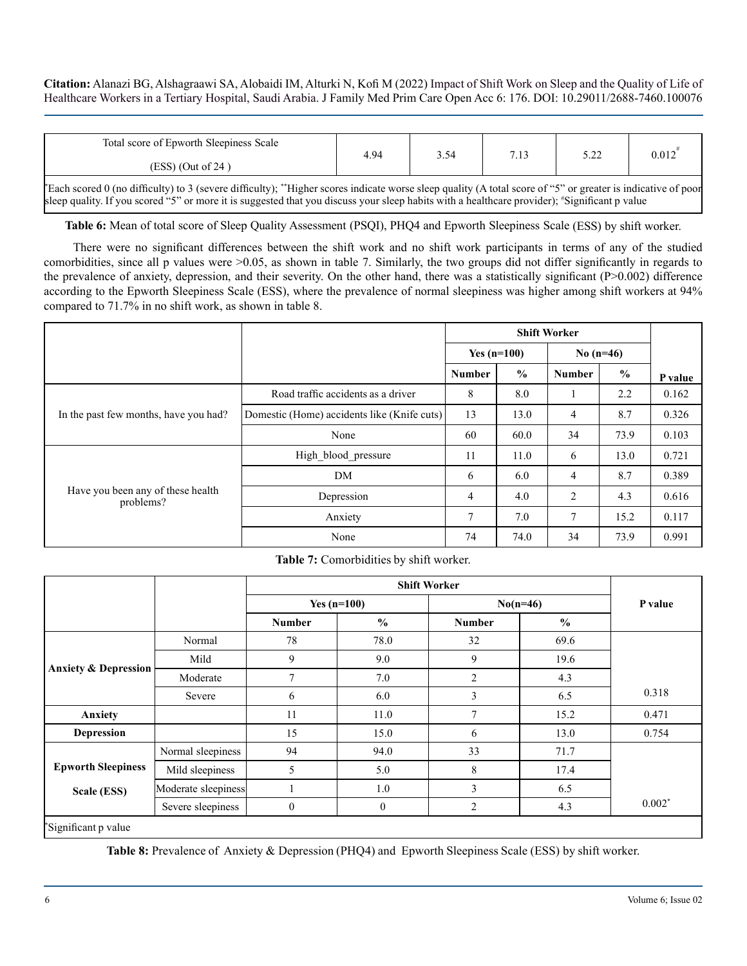| Total score of Epworth Sleepiness Scale                                                                                                                     | 4.94 | 3.54 | 7.13 | 5.22 | 0.012 |
|-------------------------------------------------------------------------------------------------------------------------------------------------------------|------|------|------|------|-------|
| $(ESS)$ (Out of 24)                                                                                                                                         |      |      |      |      |       |
| "Each scored 0 (no difficulty) to 3 (severe difficulty); "Higher scores indicate worse sleep quality (A total score of "5" or greater is indicative of poor |      |      |      |      |       |

**Table 6:** Mean of total score of Sleep Quality Assessment (PSQI), PHQ4 and Epworth Sleepiness Scale (ESS) by shift worker.

sleep quality. If you scored "5" or more it is suggested that you discuss your sleep habits with a healthcare provider); "Significant p value

There were no significant differences between the shift work and no shift work participants in terms of any of the studied comorbidities, since all p values were >0.05, as shown in table 7. Similarly, the two groups did not differ significantly in regards to the prevalence of anxiety, depression, and their severity. On the other hand, there was a statistically significant (P>0.002) difference according to the Epworth Sleepiness Scale (ESS), where the prevalence of normal sleepiness was higher among shift workers at 94% compared to 71.7% in no shift work, as shown in table 8.

|                                                |                                             | <b>Shift Worker</b> |                              |         |               |         |
|------------------------------------------------|---------------------------------------------|---------------------|------------------------------|---------|---------------|---------|
|                                                |                                             |                     | No $(n=46)$<br>Yes $(n=100)$ |         |               |         |
|                                                |                                             | <b>Number</b>       | $\frac{0}{0}$                | Number  | $\frac{0}{0}$ | P value |
|                                                | Road traffic accidents as a driver          | 8                   | 8.0                          | $\perp$ | 2.2           | 0.162   |
| In the past few months, have you had?          | Domestic (Home) accidents like (Knife cuts) | 13                  | 13.0                         | 4       | 8.7           | 0.326   |
|                                                | None                                        | 60                  | 60.0                         | 34      | 73.9          | 0.103   |
|                                                | High blood_pressure                         | 11                  | 11.0                         | 6       | 13.0          | 0.721   |
|                                                | DM                                          | 6                   | 6.0                          | 4       | 8.7           | 0.389   |
| Have you been any of these health<br>problems? | Depression                                  | $\overline{4}$      | 4.0                          | 2       | 4.3           | 0.616   |
|                                                | Anxiety                                     | $\overline{7}$      | 7.0                          | 7       | 15.2          | 0.117   |
|                                                | None                                        | 74                  | 74.0                         | 34      | 73.9          | 0.991   |

**Table 7:** Comorbidities by shift worker.

| Normal<br>Mild | <b>Number</b><br>78                                                                        | Yes $(n=100)$<br>$\frac{0}{0}$ | $No(n=46)$<br><b>Number</b> | $\frac{0}{0}$ | P value  |
|----------------|--------------------------------------------------------------------------------------------|--------------------------------|-----------------------------|---------------|----------|
|                |                                                                                            |                                |                             |               |          |
|                |                                                                                            |                                |                             |               |          |
|                |                                                                                            | 78.0                           | 32                          | 69.6          |          |
|                | 9                                                                                          | 9.0                            | 9                           | 19.6          |          |
| Moderate       | 7                                                                                          | 7.0                            | $\overline{2}$              | 4.3           |          |
|                | 6                                                                                          | 6.0                            | 3                           | 6.5           | 0.318    |
|                | 11                                                                                         | 11.0                           | $\overline{7}$              | 15.2          | 0.471    |
|                | 15                                                                                         | 15.0                           | 6                           | 13.0          | 0.754    |
|                | 94                                                                                         | 94.0                           | 33                          | 71.7          |          |
|                | 5                                                                                          | 5.0                            | 8                           | 17.4          |          |
|                |                                                                                            | 1.0                            | 3                           | 6.5           |          |
|                | $\boldsymbol{0}$                                                                           | $\boldsymbol{0}$               | $\overline{2}$              | 4.3           | $0.002*$ |
|                | Severe<br>Normal sleepiness<br>Mild sleepiness<br>Moderate sleepiness<br>Severe sleepiness |                                |                             |               |          |

**Table 8:** Prevalence of Anxiety & Depression (PHQ4) and Epworth Sleepiness Scale (ESS) by shift worker.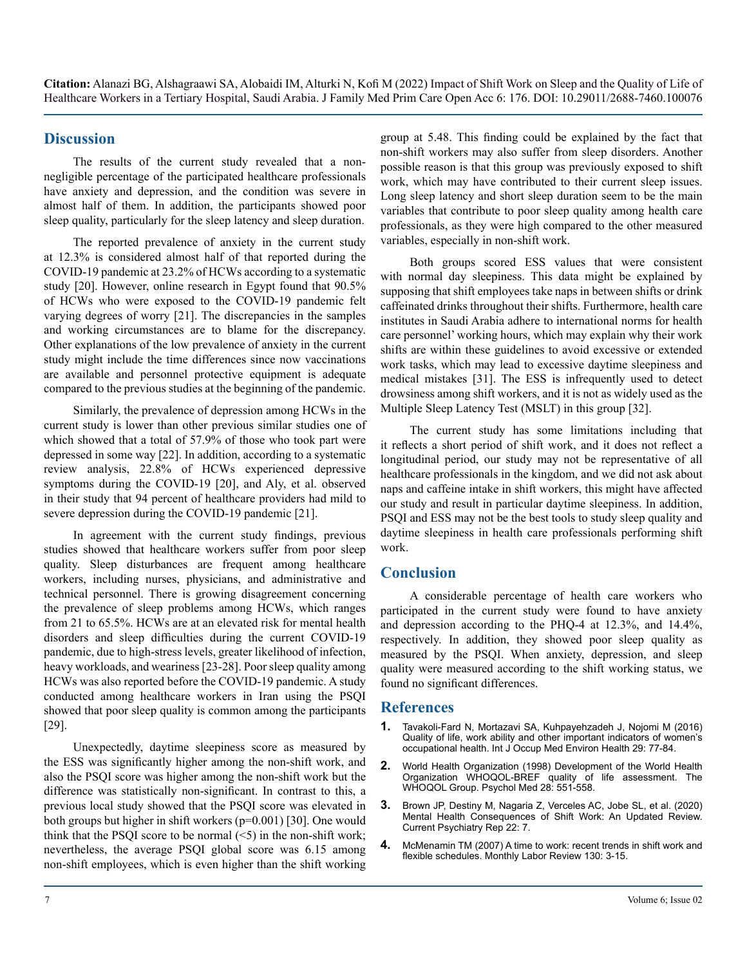# **Discussion**

The results of the current study revealed that a nonnegligible percentage of the participated healthcare professionals have anxiety and depression, and the condition was severe in almost half of them. In addition, the participants showed poor sleep quality, particularly for the sleep latency and sleep duration.

The reported prevalence of anxiety in the current study at 12.3% is considered almost half of that reported during the COVID-19 pandemic at 23.2% of HCWs according to a systematic study [20]. However, online research in Egypt found that 90.5% of HCWs who were exposed to the COVID-19 pandemic felt varying degrees of worry [21]. The discrepancies in the samples and working circumstances are to blame for the discrepancy. Other explanations of the low prevalence of anxiety in the current study might include the time differences since now vaccinations are available and personnel protective equipment is adequate compared to the previous studies at the beginning of the pandemic.

Similarly, the prevalence of depression among HCWs in the current study is lower than other previous similar studies one of which showed that a total of 57.9% of those who took part were depressed in some way [22]. In addition, according to a systematic review analysis, 22.8% of HCWs experienced depressive symptoms during the COVID-19 [20], and Aly, et al. observed in their study that 94 percent of healthcare providers had mild to severe depression during the COVID-19 pandemic [21].

In agreement with the current study findings, previous studies showed that healthcare workers suffer from poor sleep quality. Sleep disturbances are frequent among healthcare workers, including nurses, physicians, and administrative and technical personnel. There is growing disagreement concerning the prevalence of sleep problems among HCWs, which ranges from 21 to 65.5%. HCWs are at an elevated risk for mental health disorders and sleep difficulties during the current COVID-19 pandemic, due to high-stress levels, greater likelihood of infection, heavy workloads, and weariness [23-28]. Poor sleep quality among HCWs was also reported before the COVID-19 pandemic. A study conducted among healthcare workers in Iran using the PSQI showed that poor sleep quality is common among the participants [29].

Unexpectedly, daytime sleepiness score as measured by the ESS was significantly higher among the non-shift work, and also the PSQI score was higher among the non-shift work but the difference was statistically non-significant. In contrast to this, a previous local study showed that the PSQI score was elevated in both groups but higher in shift workers (p=0.001) [30]. One would think that the PSQI score to be normal  $(\leq 5)$  in the non-shift work; nevertheless, the average PSQI global score was 6.15 among non-shift employees, which is even higher than the shift working group at 5.48. This finding could be explained by the fact that non-shift workers may also suffer from sleep disorders. Another possible reason is that this group was previously exposed to shift work, which may have contributed to their current sleep issues. Long sleep latency and short sleep duration seem to be the main variables that contribute to poor sleep quality among health care professionals, as they were high compared to the other measured variables, especially in non-shift work.

Both groups scored ESS values that were consistent with normal day sleepiness. This data might be explained by supposing that shift employees take naps in between shifts or drink caffeinated drinks throughout their shifts. Furthermore, health care institutes in Saudi Arabia adhere to international norms for health care personnel' working hours, which may explain why their work shifts are within these guidelines to avoid excessive or extended work tasks, which may lead to excessive daytime sleepiness and medical mistakes [31]. The ESS is infrequently used to detect drowsiness among shift workers, and it is not as widely used as the Multiple Sleep Latency Test (MSLT) in this group [32].

The current study has some limitations including that it reflects a short period of shift work, and it does not reflect a longitudinal period, our study may not be representative of all healthcare professionals in the kingdom, and we did not ask about naps and caffeine intake in shift workers, this might have affected our study and result in particular daytime sleepiness. In addition, PSQI and ESS may not be the best tools to study sleep quality and daytime sleepiness in health care professionals performing shift work.

# **Conclusion**

A considerable percentage of health care workers who participated in the current study were found to have anxiety and depression according to the PHQ-4 at 12.3%, and 14.4%, respectively. In addition, they showed poor sleep quality as measured by the PSQI. When anxiety, depression, and sleep quality were measured according to the shift working status, we found no significant differences.

#### **References**

- **1.** [Tavakoli-Fard N, Mortazavi SA, Kuhpayehzadeh J, Nojomi M \(2016\)](https://pubmed.ncbi.nlm.nih.gov/26489945/)  [Quality of life, work ability and other important indicators of women's](https://pubmed.ncbi.nlm.nih.gov/26489945/)  [occupational health. Int J Occup Med Environ Health 29: 77-84.](https://pubmed.ncbi.nlm.nih.gov/26489945/)
- **2.** [World Health Organization \(1998\) Development of the World Health](https://pubmed.ncbi.nlm.nih.gov/9626712/)  [Organization WHOQOL-BREF quality of life assessment. The](https://pubmed.ncbi.nlm.nih.gov/9626712/)  [WHOQOL Group. Psychol Med 28: 551-558.](https://pubmed.ncbi.nlm.nih.gov/9626712/)
- **3.** [Brown JP, Destiny M, Nagaria Z, Verceles AC, Jobe SL, et al. \(2020\)](https://pubmed.ncbi.nlm.nih.gov/31955278/)  [Mental Health Consequences of Shift Work: An Updated Review.](https://pubmed.ncbi.nlm.nih.gov/31955278/) [Current Psychiatry Rep 22: 7.](https://pubmed.ncbi.nlm.nih.gov/31955278/)
- **4.** [McMenamin TM \(2007\) A time to work: recent trends in shift work and](https://www.bls.gov/opub/mlr/2007/12/art1full.pdf) [flexible schedules. Monthly Labor Review 130: 3-15.](https://www.bls.gov/opub/mlr/2007/12/art1full.pdf)